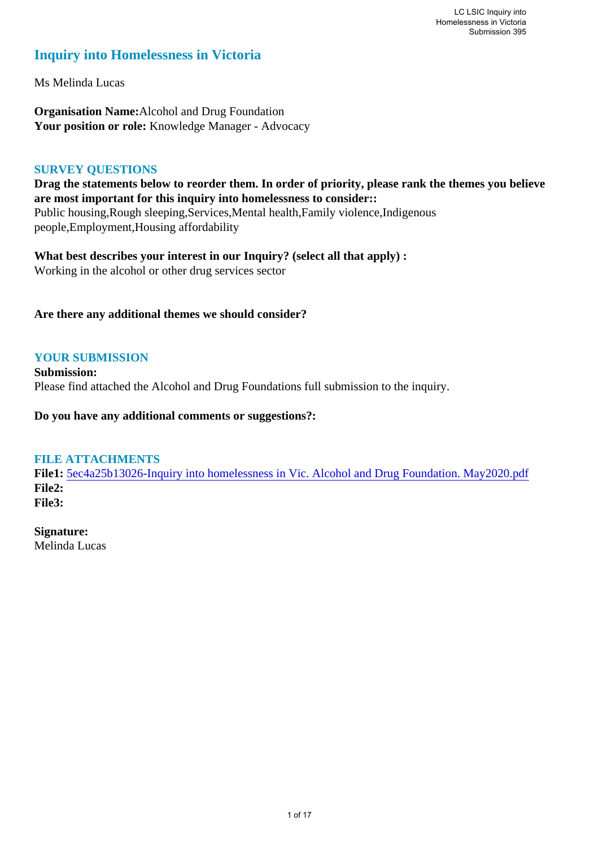# **Inquiry into Homelessness in Victoria**

Ms Melinda Lucas

**Organisation Name:**Alcohol and Drug Foundation Your position or role: Knowledge Manager - Advocacy

### **SURVEY QUESTIONS**

**Drag the statements below to reorder them. In order of priority, please rank the themes you believe are most important for this inquiry into homelessness to consider::**  Public housing,Rough sleeping,Services,Mental health,Family violence,Indigenous people,Employment,Housing affordability

**What best describes your interest in our Inquiry? (select all that apply) :**  Working in the alcohol or other drug services sector

**Are there any additional themes we should consider?**

# **YOUR SUBMISSION**

**Submission:**  Please find attached the Alcohol and Drug Foundations full submission to the inquiry.

**Do you have any additional comments or suggestions?:** 

# **FILE ATTACHMENTS**

**File1:** [5ec4a25b13026-Inquiry into homelessness in Vic. Alcohol and Drug Foundation. May2020.pdf](https://www.parliament.vic.gov.au/component/rsform/submission-view-file/86fdeb44c81deb116363c3a0d8304007/0f16526bb215afac7ee7f87a4e2fcf64?Itemid=527) **File2: File3:** 

**Signature:**

Melinda Lucas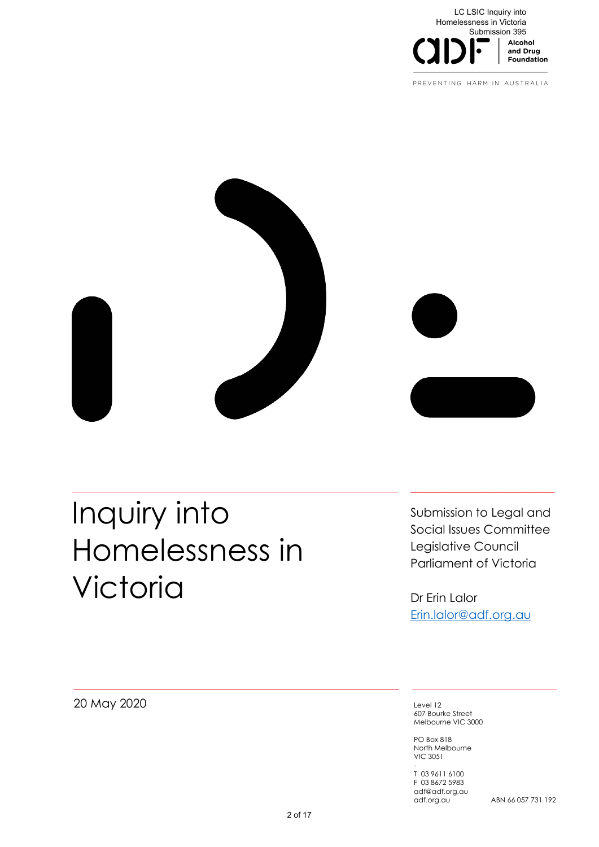

PREVENTING HARM IN AUSTRALIA



# Inquiry into Homelessness in **Victoria**

Submission to Legal and Social Issues Committee Legislative Council Parliament of Victoria

Dr Erin Lalor Erin.lalor@adf.org.au

20 May 2020

Level 12 607 Bourke Street Melbourne VIC 3000

PO Box 818 North Melbourne VIC 3051

- T 03 9611 6100 F 03 8672 5983 adf@adf.org.au

ABN 66 057 731 192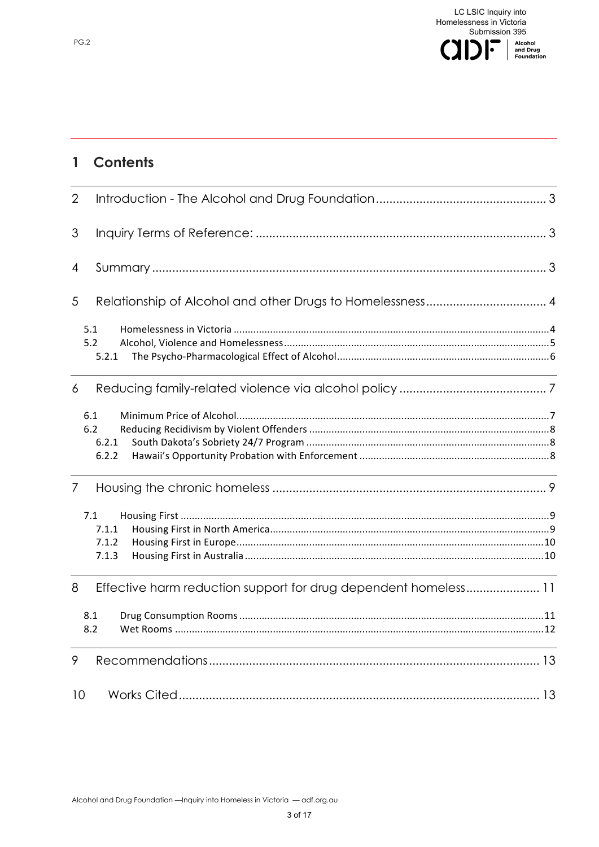

# 1 Contents

| $\overline{2}$ |                                                                |  |
|----------------|----------------------------------------------------------------|--|
| 3              |                                                                |  |
| 4              |                                                                |  |
| 5              |                                                                |  |
|                | 5.1<br>5.2<br>5.2.1                                            |  |
| 6              |                                                                |  |
|                | 6.1<br>6.2<br>6.2.1<br>6.2.2                                   |  |
| $\overline{7}$ |                                                                |  |
|                | 7.1<br>7.1.1<br>7.1.2<br>7.1.3                                 |  |
| 8              | Effective harm reduction support for drug dependent homeless11 |  |
|                | 8.1<br>8.2                                                     |  |
| 9              |                                                                |  |
| 10             |                                                                |  |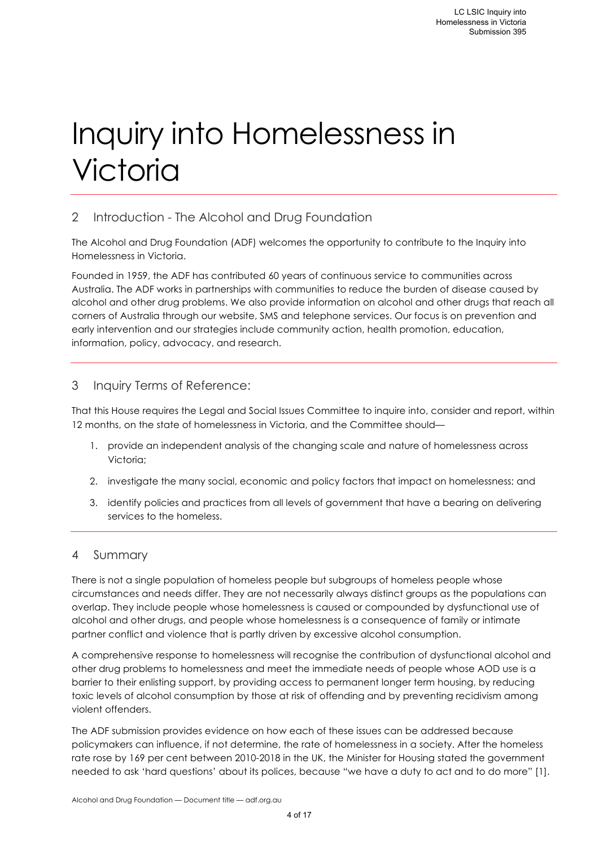# Inquiry into Homelessness in **Victoria**

# 2 Introduction - The Alcohol and Drug Foundation

The Alcohol and Drug Foundation (ADF) welcomes the opportunity to contribute to the Inquiry into Homelessness in Victoria.

Founded in 1959, the ADF has contributed 60 years of continuous service to communities across Australia. The ADF works in partnerships with communities to reduce the burden of disease caused by alcohol and other drug problems. We also provide information on alcohol and other drugs that reach all corners of Australia through our website, SMS and telephone services. Our focus is on prevention and early intervention and our strategies include community action, health promotion, education, information, policy, advocacy, and research.

# 3 Inquiry Terms of Reference:

That this House requires the Legal and Social Issues Committee to inquire into, consider and report, within 12 months, on the state of homelessness in Victoria, and the Committee should—

- 1. provide an independent analysis of the changing scale and nature of homelessness across Victoria;
- 2. investigate the many social, economic and policy factors that impact on homelessness; and
- 3. identify policies and practices from all levels of government that have a bearing on delivering services to the homeless.

# 4 Summary

There is not a single population of homeless people but subgroups of homeless people whose circumstances and needs differ. They are not necessarily always distinct groups as the populations can overlap. They include people whose homelessness is caused or compounded by dysfunctional use of alcohol and other drugs, and people whose homelessness is a consequence of family or intimate partner conflict and violence that is partly driven by excessive alcohol consumption.

A comprehensive response to homelessness will recognise the contribution of dysfunctional alcohol and other drug problems to homelessness and meet the immediate needs of people whose AOD use is a barrier to their enlisting support, by providing access to permanent longer term housing, by reducing toxic levels of alcohol consumption by those at risk of offending and by preventing recidivism among violent offenders.

The ADF submission provides evidence on how each of these issues can be addressed because policymakers can influence, if not determine, the rate of homelessness in a society. After the homeless rate rose by 169 per cent between 2010-2018 in the UK, the Minister for Housing stated the government needed to ask 'hard questions' about its polices, because "we have a duty to act and to do more" [1].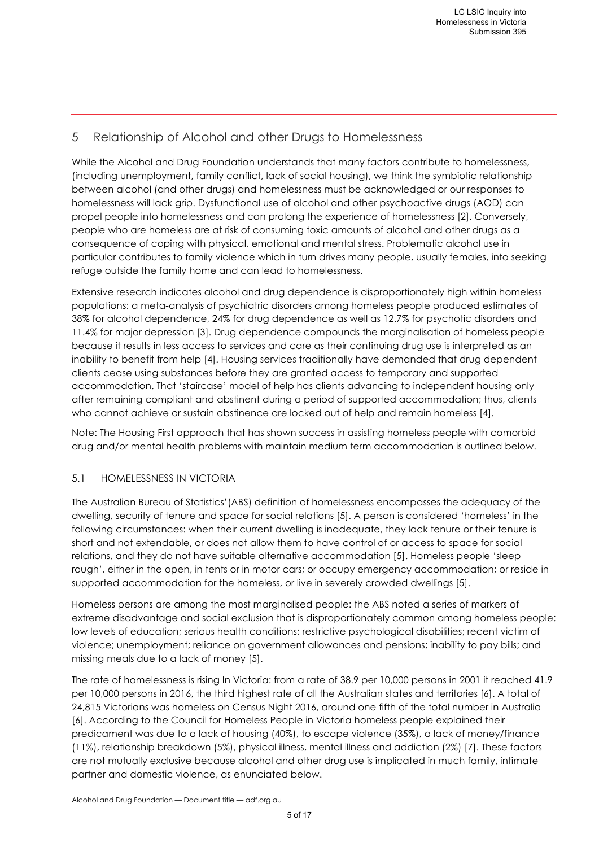# 5 Relationship of Alcohol and other Drugs to Homelessness

While the Alcohol and Drug Foundation understands that many factors contribute to homelessness, (including unemployment, family conflict, lack of social housing), we think the symbiotic relationship between alcohol (and other drugs) and homelessness must be acknowledged or our responses to homelessness will lack grip. Dysfunctional use of alcohol and other psychoactive drugs (AOD) can propel people into homelessness and can prolong the experience of homelessness [2]. Conversely, people who are homeless are at risk of consuming toxic amounts of alcohol and other drugs as a consequence of coping with physical, emotional and mental stress. Problematic alcohol use in particular contributes to family violence which in turn drives many people, usually females, into seeking refuge outside the family home and can lead to homelessness.

Extensive research indicates alcohol and drug dependence is disproportionately high within homeless populations: a meta-analysis of psychiatric disorders among homeless people produced estimates of 38% for alcohol dependence, 24% for drug dependence as well as 12.7% for psychotic disorders and 11.4% for major depression [3]. Drug dependence compounds the marginalisation of homeless people because it results in less access to services and care as their continuing drug use is interpreted as an inability to benefit from help [4]. Housing services traditionally have demanded that drug dependent clients cease using substances before they are granted access to temporary and supported accommodation. That 'staircase' model of help has clients advancing to independent housing only after remaining compliant and abstinent during a period of supported accommodation; thus, clients who cannot achieve or sustain abstinence are locked out of help and remain homeless [4].

Note: The Housing First approach that has shown success in assisting homeless people with comorbid drug and/or mental health problems with maintain medium term accommodation is outlined below.

#### 5.1 HOMELESSNESS IN VICTORIA

The Australian Bureau of Statistics'(ABS) definition of homelessness encompasses the adequacy of the dwelling, security of tenure and space for social relations [5]. A person is considered 'homeless' in the following circumstances: when their current dwelling is inadequate, they lack tenure or their tenure is short and not extendable, or does not allow them to have control of or access to space for social relations, and they do not have suitable alternative accommodation [5]. Homeless people 'sleep rough', either in the open, in tents or in motor cars; or occupy emergency accommodation; or reside in supported accommodation for the homeless, or live in severely crowded dwellings [5].

Homeless persons are among the most marginalised people: the ABS noted a series of markers of extreme disadvantage and social exclusion that is disproportionately common among homeless people: low levels of education; serious health conditions; restrictive psychological disabilities; recent victim of violence; unemployment; reliance on government allowances and pensions; inability to pay bills; and missing meals due to a lack of money [5].

The rate of homelessness is rising In Victoria: from a rate of 38.9 per 10,000 persons in 2001 it reached 41.9 per 10,000 persons in 2016, the third highest rate of all the Australian states and territories [6]. A total of 24,815 Victorians was homeless on Census Night 2016, around one fifth of the total number in Australia [6]. According to the Council for Homeless People in Victoria homeless people explained their predicament was due to a lack of housing (40%), to escape violence (35%), a lack of money/finance (11%), relationship breakdown (5%), physical illness, mental illness and addiction (2%) [7]. These factors are not mutually exclusive because alcohol and other drug use is implicated in much family, intimate partner and domestic violence, as enunciated below.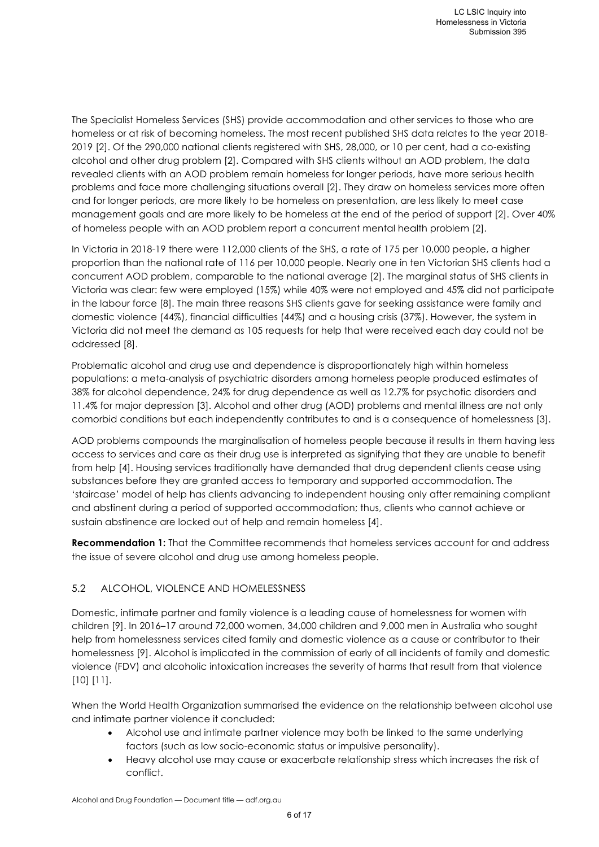The Specialist Homeless Services (SHS) provide accommodation and other services to those who are homeless or at risk of becoming homeless. The most recent published SHS data relates to the year 2018- 2019 [2]. Of the 290,000 national clients registered with SHS, 28,000, or 10 per cent, had a co-existing alcohol and other drug problem [2]. Compared with SHS clients without an AOD problem, the data revealed clients with an AOD problem remain homeless for longer periods, have more serious health problems and face more challenging situations overall [2]. They draw on homeless services more often and for longer periods, are more likely to be homeless on presentation, are less likely to meet case management goals and are more likely to be homeless at the end of the period of support [2]. Over 40% of homeless people with an AOD problem report a concurrent mental health problem [2].

In Victoria in 2018-19 there were 112,000 clients of the SHS, a rate of 175 per 10,000 people, a higher proportion than the national rate of 116 per 10,000 people. Nearly one in ten Victorian SHS clients had a concurrent AOD problem, comparable to the national average [2]. The marginal status of SHS clients in Victoria was clear: few were employed (15%) while 40% were not employed and 45% did not participate in the labour force [8]. The main three reasons SHS clients gave for seeking assistance were family and domestic violence (44%), financial difficulties (44%) and a housing crisis (37%). However, the system in Victoria did not meet the demand as 105 requests for help that were received each day could not be addressed [8].

Problematic alcohol and drug use and dependence is disproportionately high within homeless populations: a meta-analysis of psychiatric disorders among homeless people produced estimates of 38% for alcohol dependence, 24% for drug dependence as well as 12.7% for psychotic disorders and 11.4% for major depression [3]. Alcohol and other drug (AOD) problems and mental illness are not only comorbid conditions but each independently contributes to and is a consequence of homelessness [3].

AOD problems compounds the marginalisation of homeless people because it results in them having less access to services and care as their drug use is interpreted as signifying that they are unable to benefit from help [4]. Housing services traditionally have demanded that drug dependent clients cease using substances before they are granted access to temporary and supported accommodation. The 'staircase' model of help has clients advancing to independent housing only after remaining compliant and abstinent during a period of supported accommodation; thus, clients who cannot achieve or sustain abstinence are locked out of help and remain homeless [4].

**Recommendation 1:** That the Committee recommends that homeless services account for and address the issue of severe alcohol and drug use among homeless people.

# 5.2 ALCOHOL, VIOLENCE AND HOMELESSNESS

Domestic, intimate partner and family violence is a leading cause of homelessness for women with children [9]. In 2016–17 around 72,000 women, 34,000 children and 9,000 men in Australia who sought help from homelessness services cited family and domestic violence as a cause or contributor to their homelessness [9]. Alcohol is implicated in the commission of early of all incidents of family and domestic violence (FDV) and alcoholic intoxication increases the severity of harms that result from that violence [10] [11].

When the World Health Organization summarised the evidence on the relationship between alcohol use and intimate partner violence it concluded:

- Alcohol use and intimate partner violence may both be linked to the same underlying factors (such as low socio-economic status or impulsive personality).
- Heavy alcohol use may cause or exacerbate relationship stress which increases the risk of conflict.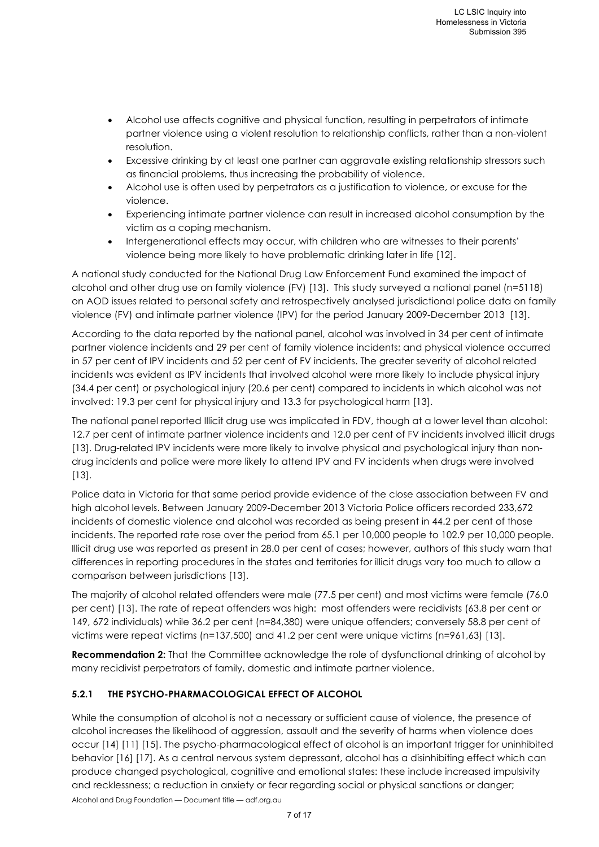- Alcohol use affects cognitive and physical function, resulting in perpetrators of intimate partner violence using a violent resolution to relationship conflicts, rather than a non-violent resolution.
- Excessive drinking by at least one partner can aggravate existing relationship stressors such as financial problems, thus increasing the probability of violence.
- Alcohol use is often used by perpetrators as a justification to violence, or excuse for the violence.
- Experiencing intimate partner violence can result in increased alcohol consumption by the victim as a coping mechanism.
- Intergenerational effects may occur, with children who are witnesses to their parents' violence being more likely to have problematic drinking later in life [12].

A national study conducted for the National Drug Law Enforcement Fund examined the impact of alcohol and other drug use on family violence (FV) [13]. This study surveyed a national panel (n=5118) on AOD issues related to personal safety and retrospectively analysed jurisdictional police data on family violence (FV) and intimate partner violence (IPV) for the period January 2009-December 2013 [13].

According to the data reported by the national panel, alcohol was involved in 34 per cent of intimate partner violence incidents and 29 per cent of family violence incidents; and physical violence occurred in 57 per cent of IPV incidents and 52 per cent of FV incidents. The greater severity of alcohol related incidents was evident as IPV incidents that involved alcohol were more likely to include physical injury (34.4 per cent) or psychological injury (20.6 per cent) compared to incidents in which alcohol was not involved: 19.3 per cent for physical injury and 13.3 for psychological harm [13].

The national panel reported Illicit drug use was implicated in FDV, though at a lower level than alcohol: 12.7 per cent of intimate partner violence incidents and 12.0 per cent of FV incidents involved illicit drugs [13]. Drug-related IPV incidents were more likely to involve physical and psychological injury than nondrug incidents and police were more likely to attend IPV and FV incidents when drugs were involved [13].

Police data in Victoria for that same period provide evidence of the close association between FV and high alcohol levels. Between January 2009-December 2013 Victoria Police officers recorded 233,672 incidents of domestic violence and alcohol was recorded as being present in 44.2 per cent of those incidents. The reported rate rose over the period from 65.1 per 10,000 people to 102.9 per 10,000 people. Illicit drug use was reported as present in 28.0 per cent of cases; however, authors of this study warn that differences in reporting procedures in the states and territories for illicit drugs vary too much to allow a comparison between jurisdictions [13].

The majority of alcohol related offenders were male (77.5 per cent) and most victims were female (76.0 per cent) [13]. The rate of repeat offenders was high: most offenders were recidivists (63.8 per cent or 149, 672 individuals) while 36.2 per cent (n=84,380) were unique offenders; conversely 58.8 per cent of victims were repeat victims (n=137,500) and 41.2 per cent were unique victims (n=961,63) [13].

**Recommendation 2:** That the Committee acknowledge the role of dysfunctional drinking of alcohol by many recidivist perpetrators of family, domestic and intimate partner violence.

# **5.2.1 THE PSYCHO-PHARMACOLOGICAL EFFECT OF ALCOHOL**

While the consumption of alcohol is not a necessary or sufficient cause of violence, the presence of alcohol increases the likelihood of aggression, assault and the severity of harms when violence does occur [14] [11] [15]. The psycho-pharmacological effect of alcohol is an important trigger for uninhibited behavior [16] [17]. As a central nervous system depressant, alcohol has a disinhibiting effect which can produce changed psychological, cognitive and emotional states: these include increased impulsivity and recklessness; a reduction in anxiety or fear regarding social or physical sanctions or danger;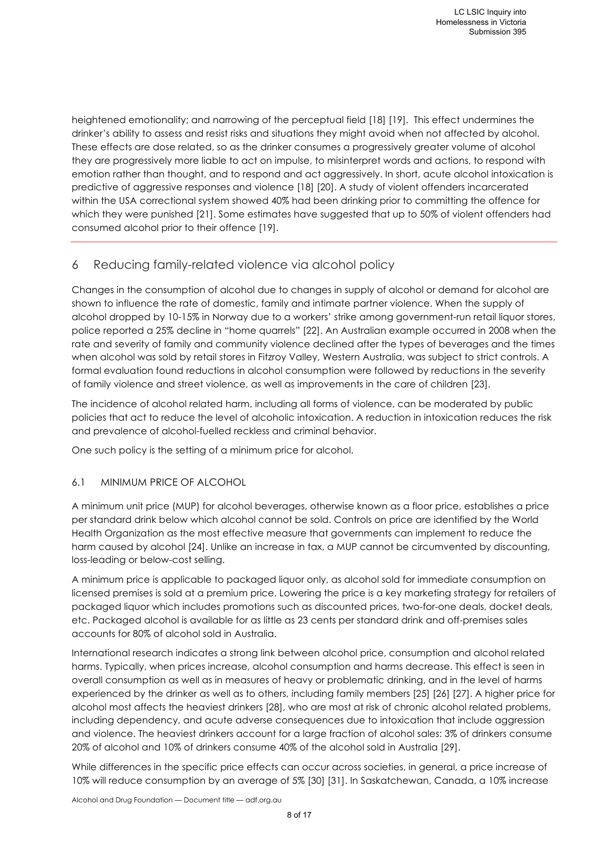heightened emotionality; and narrowing of the perceptual field [18] [19]. This effect undermines the drinker's ability to assess and resist risks and situations they might avoid when not affected by alcohol. These effects are dose related, so as the drinker consumes a progressively greater volume of alcohol they are progressively more liable to act on impulse, to misinterpret words and actions, to respond with emotion rather than thought, and to respond and act aggressively. In short, acute alcohol intoxication is predictive of aggressive responses and violence [18] [20]. A study of violent offenders incarcerated within the USA correctional system showed 40% had been drinking prior to committing the offence for which they were punished [21]. Some estimates have suggested that up to 50% of violent offenders had consumed alcohol prior to their offence [19].

# 6 Reducing family-related violence via alcohol policy

Changes in the consumption of alcohol due to changes in supply of alcohol or demand for alcohol are shown to influence the rate of domestic, family and intimate partner violence. When the supply of alcohol dropped by 10-15% in Norway due to a workers' strike among government-run retail liquor stores, police reported a 25% decline in "home quarrels" [22]. An Australian example occurred in 2008 when the rate and severity of family and community violence declined after the types of beverages and the times when alcohol was sold by retail stores in Fitzroy Valley, Western Australia, was subject to strict controls. A formal evaluation found reductions in alcohol consumption were followed by reductions in the severity of family violence and street violence, as well as improvements in the care of children [23].

The incidence of alcohol related harm, including all forms of violence, can be moderated by public policies that act to reduce the level of alcoholic intoxication. A reduction in intoxication reduces the risk and prevalence of alcohol-fuelled reckless and criminal behavior.

One such policy is the setting of a minimum price for alcohol.

#### 6.1 MINIMUM PRICE OF ALCOHOL

A minimum unit price (MUP) for alcohol beverages, otherwise known as a floor price, establishes a price per standard drink below which alcohol cannot be sold. Controls on price are identified by the World Health Organization as the most effective measure that governments can implement to reduce the harm caused by alcohol [24]. Unlike an increase in tax, a MUP cannot be circumvented by discounting, loss-leading or below-cost selling.

A minimum price is applicable to packaged liquor only, as alcohol sold for immediate consumption on licensed premises is sold at a premium price. Lowering the price is a key marketing strategy for retailers of packaged liquor which includes promotions such as discounted prices, two-for-one deals, docket deals, etc. Packaged alcohol is available for as little as 23 cents per standard drink and off-premises sales accounts for 80% of alcohol sold in Australia.

International research indicates a strong link between alcohol price, consumption and alcohol related harms. Typically, when prices increase, alcohol consumption and harms decrease. This effect is seen in overall consumption as well as in measures of heavy or problematic drinking, and in the level of harms experienced by the drinker as well as to others, including family members [25] [26] [27]. A higher price for alcohol most affects the heaviest drinkers [28], who are most at risk of chronic alcohol related problems, including dependency, and acute adverse consequences due to intoxication that include aggression and violence. The heaviest drinkers account for a large fraction of alcohol sales: 3% of drinkers consume 20% of alcohol and 10% of drinkers consume 40% of the alcohol sold in Australia [29].

While differences in the specific price effects can occur across societies, in general, a price increase of 10% will reduce consumption by an average of 5% [30] [31]. In Saskatchewan, Canada, a 10% increase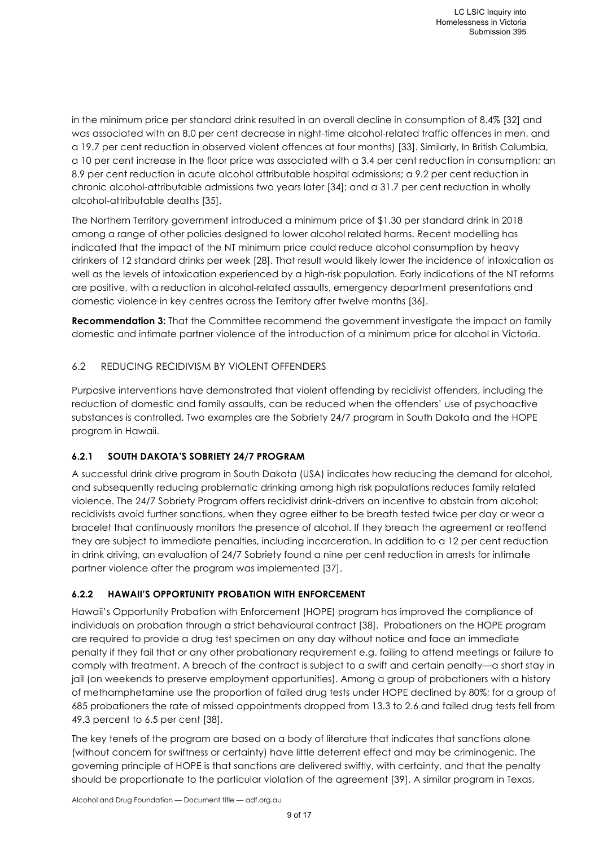in the minimum price per standard drink resulted in an overall decline in consumption of 8.4% [32] and was associated with an 8.0 per cent decrease in night-time alcohol-related traffic offences in men, and a 19.7 per cent reduction in observed violent offences at four months) [33]. Similarly, In British Columbia, a 10 per cent increase in the floor price was associated with a 3.4 per cent reduction in consumption; an 8.9 per cent reduction in acute alcohol attributable hospital admissions; a 9.2 per cent reduction in chronic alcohol-attributable admissions two years later [34]; and a 31.7 per cent reduction in wholly alcohol-attributable deaths [35].

The Northern Territory government introduced a minimum price of \$1.30 per standard drink in 2018 among a range of other policies designed to lower alcohol related harms. Recent modelling has indicated that the impact of the NT minimum price could reduce alcohol consumption by heavy drinkers of 12 standard drinks per week [28]. That result would likely lower the incidence of intoxication as well as the levels of intoxication experienced by a high-risk population. Early indications of the NT reforms are positive, with a reduction in alcohol-related assaults, emergency department presentations and domestic violence in key centres across the Territory after twelve months [36].

**Recommendation 3:** That the Committee recommend the government investigate the impact on family domestic and intimate partner violence of the introduction of a minimum price for alcohol in Victoria.

#### 6.2 REDUCING RECIDIVISM BY VIOLENT OFFENDERS

Purposive interventions have demonstrated that violent offending by recidivist offenders, including the reduction of domestic and family assaults, can be reduced when the offenders' use of psychoactive substances is controlled. Two examples are the Sobriety 24/7 program in South Dakota and the HOPE program in Hawaii.

#### **6.2.1 SOUTH DAKOTA'S SOBRIETY 24/7 PROGRAM**

A successful drink drive program in South Dakota (USA) indicates how reducing the demand for alcohol, and subsequently reducing problematic drinking among high risk populations reduces family related violence. The 24/7 Sobriety Program offers recidivist drink-drivers an incentive to abstain from alcohol: recidivists avoid further sanctions, when they agree either to be breath tested twice per day or wear a bracelet that continuously monitors the presence of alcohol. If they breach the agreement or reoffend they are subject to immediate penalties, including incarceration. In addition to a 12 per cent reduction in drink driving, an evaluation of 24/7 Sobriety found a nine per cent reduction in arrests for intimate partner violence after the program was implemented [37].

#### **6.2.2 HAWAII'S OPPORTUNITY PROBATION WITH ENFORCEMENT**

Hawaii's Opportunity Probation with Enforcement (HOPE) program has improved the compliance of individuals on probation through a strict behavioural contract [38]. Probationers on the HOPE program are required to provide a drug test specimen on any day without notice and face an immediate penalty if they fail that or any other probationary requirement e.g. failing to attend meetings or failure to comply with treatment. A breach of the contract is subject to a swift and certain penalty—a short stay in jail (on weekends to preserve employment opportunities). Among a group of probationers with a history of methamphetamine use the proportion of failed drug tests under HOPE declined by 80%; for a group of 685 probationers the rate of missed appointments dropped from 13.3 to 2.6 and failed drug tests fell from 49.3 percent to 6.5 per cent [38].

The key tenets of the program are based on a body of literature that indicates that sanctions alone (without concern for swiftness or certainty) have little deterrent effect and may be criminogenic. The governing principle of HOPE is that sanctions are delivered swiftly, with certainty, and that the penalty should be proportionate to the particular violation of the agreement [39]. A similar program in Texas,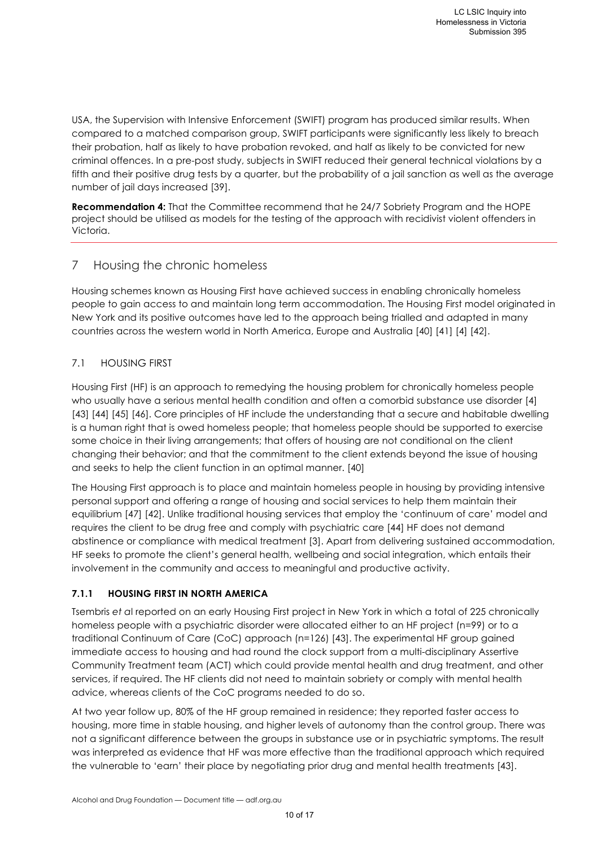USA, the Supervision with Intensive Enforcement (SWIFT) program has produced similar results. When compared to a matched comparison group, SWIFT participants were significantly less likely to breach their probation, half as likely to have probation revoked, and half as likely to be convicted for new criminal offences. In a pre-post study, subjects in SWIFT reduced their general technical violations by a fifth and their positive drug tests by a quarter, but the probability of a jail sanction as well as the average number of jail days increased [39].

**Recommendation 4:** That the Committee recommend that he 24/7 Sobriety Program and the HOPE project should be utilised as models for the testing of the approach with recidivist violent offenders in Victoria.

# 7 Housing the chronic homeless

Housing schemes known as Housing First have achieved success in enabling chronically homeless people to gain access to and maintain long term accommodation. The Housing First model originated in New York and its positive outcomes have led to the approach being trialled and adapted in many countries across the western world in North America, Europe and Australia [40] [41] [4] [42].

# 7.1 HOUSING FIRST

Housing First (HF) is an approach to remedying the housing problem for chronically homeless people who usually have a serious mental health condition and often a comorbid substance use disorder [4] [43] [44] [45] [46]. Core principles of HF include the understanding that a secure and habitable dwelling is a human right that is owed homeless people; that homeless people should be supported to exercise some choice in their living arrangements; that offers of housing are not conditional on the client changing their behavior; and that the commitment to the client extends beyond the issue of housing and seeks to help the client function in an optimal manner. [40]

The Housing First approach is to place and maintain homeless people in housing by providing intensive personal support and offering a range of housing and social services to help them maintain their equilibrium [47] [42]. Unlike traditional housing services that employ the 'continuum of care' model and requires the client to be drug free and comply with psychiatric care [44] HF does not demand abstinence or compliance with medical treatment [3]. Apart from delivering sustained accommodation, HF seeks to promote the client's general health, wellbeing and social integration, which entails their involvement in the community and access to meaningful and productive activity.

#### **7.1.1 HOUSING FIRST IN NORTH AMERICA**

Tsembris *et a*l reported on an early Housing First project in New York in which a total of 225 chronically homeless people with a psychiatric disorder were allocated either to an HF project (n=99) or to a traditional Continuum of Care (CoC) approach (n=126) [43]. The experimental HF group gained immediate access to housing and had round the clock support from a multi-disciplinary Assertive Community Treatment team (ACT) which could provide mental health and drug treatment, and other services, if required. The HF clients did not need to maintain sobriety or comply with mental health advice, whereas clients of the CoC programs needed to do so.

At two year follow up, 80% of the HF group remained in residence; they reported faster access to housing, more time in stable housing, and higher levels of autonomy than the control group. There was not a significant difference between the groups in substance use or in psychiatric symptoms. The result was interpreted as evidence that HF was more effective than the traditional approach which required the vulnerable to 'earn' their place by negotiating prior drug and mental health treatments [43].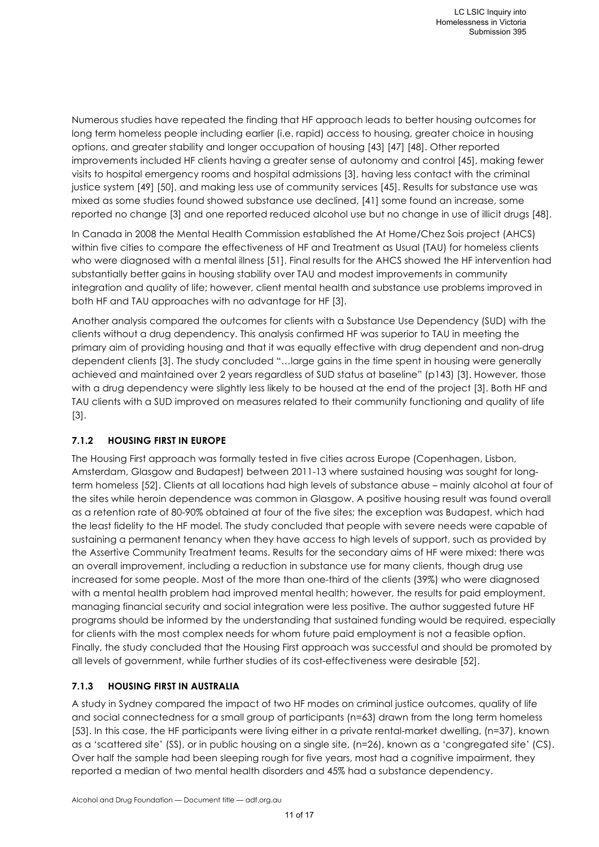Numerous studies have repeated the finding that HF approach leads to better housing outcomes for long term homeless people including earlier (i.e. rapid) access to housing, greater choice in housing options, and greater stability and longer occupation of housing [43] [47] [48]. Other reported improvements included HF clients having a greater sense of autonomy and control [45], making fewer visits to hospital emergency rooms and hospital admissions [3], having less contact with the criminal justice system [49] [50], and making less use of community services [45]. Results for substance use was mixed as some studies found showed substance use declined, [41] some found an increase, some reported no change [3] and one reported reduced alcohol use but no change in use of illicit drugs [48].

In Canada in 2008 the Mental Health Commission established the At Home/Chez Sois project (AHCS) within five cities to compare the effectiveness of HF and Treatment as Usual (TAU) for homeless clients who were diagnosed with a mental illness [51]. Final results for the AHCS showed the HF intervention had substantially better gains in housing stability over TAU and modest improvements in community integration and quality of life; however, client mental health and substance use problems improved in both HF and TAU approaches with no advantage for HF [3].

Another analysis compared the outcomes for clients with a Substance Use Dependency (SUD) with the clients without a drug dependency. This analysis confirmed HF was superior to TAU in meeting the primary aim of providing housing and that it was equally effective with drug dependent and non-drug dependent clients [3]. The study concluded "…large gains in the time spent in housing were generally achieved and maintained over 2 years regardless of SUD status at baseline" (p143) [3]. However, those with a drug dependency were slightly less likely to be housed at the end of the project [3]. Both HF and TAU clients with a SUD improved on measures related to their community functioning and quality of life [3].

# **7.1.2 HOUSING FIRST IN EUROPE**

The Housing First approach was formally tested in five cities across Europe (Copenhagen, Lisbon, Amsterdam, Glasgow and Budapest) between 2011-13 where sustained housing was sought for longterm homeless [52]. Clients at all locations had high levels of substance abuse – mainly alcohol at four of the sites while heroin dependence was common in Glasgow. A positive housing result was found overall as a retention rate of 80-90% obtained at four of the five sites; the exception was Budapest, which had the least fidelity to the HF model. The study concluded that people with severe needs were capable of sustaining a permanent tenancy when they have access to high levels of support, such as provided by the Assertive Community Treatment teams. Results for the secondary aims of HF were mixed: there was an overall improvement, including a reduction in substance use for many clients, though drug use increased for some people. Most of the more than one-third of the clients (39%) who were diagnosed with a mental health problem had improved mental health; however, the results for paid employment, managing financial security and social integration were less positive. The author suggested future HF programs should be informed by the understanding that sustained funding would be required, especially for clients with the most complex needs for whom future paid employment is not a feasible option. Finally, the study concluded that the Housing First approach was successful and should be promoted by all levels of government, while further studies of its cost-effectiveness were desirable [52].

#### **7.1.3 HOUSING FIRST IN AUSTRALIA**

A study in Sydney compared the impact of two HF modes on criminal justice outcomes, quality of life and social connectedness for a small group of participants (n=63) drawn from the long term homeless [53]. In this case, the HF participants were living either in a private rental-market dwelling, (n=37), known as a 'scattered site' (SS), or in public housing on a single site, (n=26), known as a 'congregated site' (CS). Over half the sample had been sleeping rough for five years, most had a cognitive impairment, they reported a median of two mental health disorders and 45% had a substance dependency.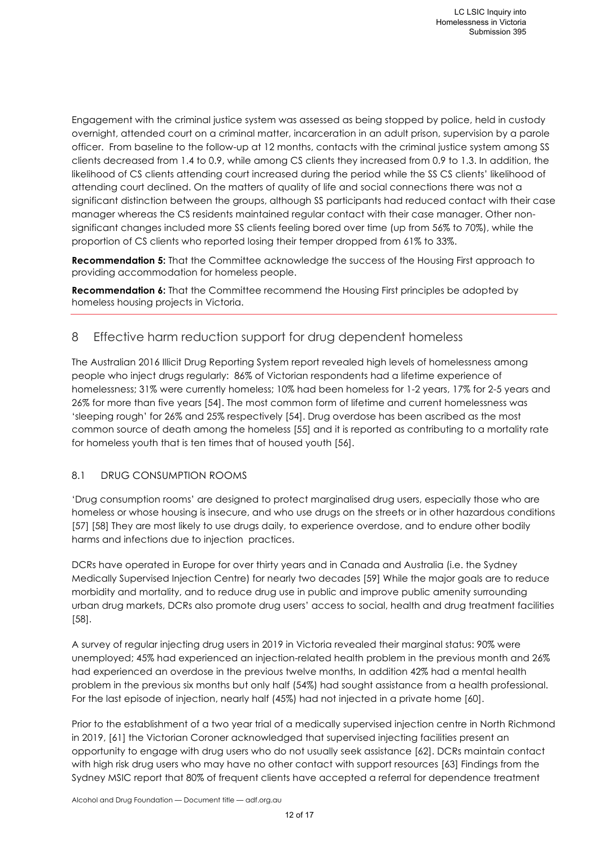Engagement with the criminal justice system was assessed as being stopped by police, held in custody overnight, attended court on a criminal matter, incarceration in an adult prison, supervision by a parole officer. From baseline to the follow-up at 12 months, contacts with the criminal justice system among SS clients decreased from 1.4 to 0.9, while among CS clients they increased from 0.9 to 1.3. In addition, the likelihood of CS clients attending court increased during the period while the SS CS clients' likelihood of attending court declined. On the matters of quality of life and social connections there was not a significant distinction between the groups, although SS participants had reduced contact with their case manager whereas the CS residents maintained regular contact with their case manager. Other nonsignificant changes included more SS clients feeling bored over time (up from 56% to 70%), while the proportion of CS clients who reported losing their temper dropped from 61% to 33%.

**Recommendation 5:** That the Committee acknowledge the success of the Housing First approach to providing accommodation for homeless people.

**Recommendation 6:** That the Committee recommend the Housing First principles be adopted by homeless housing projects in Victoria.

# 8 Effective harm reduction support for drug dependent homeless

The Australian 2016 Illicit Drug Reporting System report revealed high levels of homelessness among people who inject drugs regularly: 86% of Victorian respondents had a lifetime experience of homelessness; 31% were currently homeless; 10% had been homeless for 1-2 years, 17% for 2-5 years and 26% for more than five years [54]. The most common form of lifetime and current homelessness was 'sleeping rough' for 26% and 25% respectively [54]. Drug overdose has been ascribed as the most common source of death among the homeless [55] and it is reported as contributing to a mortality rate for homeless youth that is ten times that of housed youth [56].

#### 8.1 DRUG CONSUMPTION ROOMS

'Drug consumption rooms' are designed to protect marginalised drug users, especially those who are homeless or whose housing is insecure, and who use drugs on the streets or in other hazardous conditions [57] [58] They are most likely to use drugs daily, to experience overdose, and to endure other bodily harms and infections due to injection practices.

DCRs have operated in Europe for over thirty years and in Canada and Australia (i.e. the Sydney Medically Supervised Injection Centre) for nearly two decades [59] While the major goals are to reduce morbidity and mortality, and to reduce drug use in public and improve public amenity surrounding urban drug markets, DCRs also promote drug users' access to social, health and drug treatment facilities [58].

A survey of regular injecting drug users in 2019 in Victoria revealed their marginal status: 90% were unemployed; 45% had experienced an injection-related health problem in the previous month and 26% had experienced an overdose in the previous twelve months, In addition 42% had a mental health problem in the previous six months but only half (54%) had sought assistance from a health professional. For the last episode of injection, nearly half (45%) had not injected in a private home [60].

Prior to the establishment of a two year trial of a medically supervised injection centre in North Richmond in 2019, [61] the Victorian Coroner acknowledged that supervised injecting facilities present an opportunity to engage with drug users who do not usually seek assistance [62]. DCRs maintain contact with high risk drug users who may have no other contact with support resources [63] Findings from the Sydney MSIC report that 80% of frequent clients have accepted a referral for dependence treatment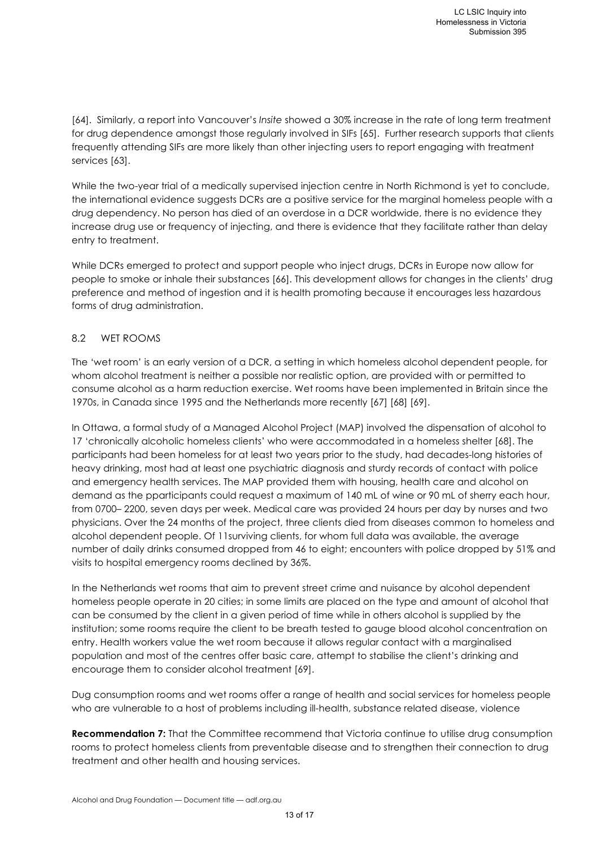[64]. Similarly, a report into Vancouver's *Insite* showed a 30% increase in the rate of long term treatment for drug dependence amongst those regularly involved in SIFs [65]. Further research supports that clients frequently attending SIFs are more likely than other injecting users to report engaging with treatment services [63].

While the two-year trial of a medically supervised injection centre in North Richmond is yet to conclude, the international evidence suggests DCRs are a positive service for the marginal homeless people with a drug dependency. No person has died of an overdose in a DCR worldwide, there is no evidence they increase drug use or frequency of injecting, and there is evidence that they facilitate rather than delay entry to treatment.

While DCRs emerged to protect and support people who inject drugs, DCRs in Europe now allow for people to smoke or inhale their substances [66]. This development allows for changes in the clients' drug preference and method of ingestion and it is health promoting because it encourages less hazardous forms of drug administration.

#### 8.2 WET ROOMS

The 'wet room' is an early version of a DCR, a setting in which homeless alcohol dependent people, for whom alcohol treatment is neither a possible nor realistic option, are provided with or permitted to consume alcohol as a harm reduction exercise. Wet rooms have been implemented in Britain since the 1970s, in Canada since 1995 and the Netherlands more recently [67] [68] [69].

In Ottawa, a formal study of a Managed Alcohol Project (MAP) involved the dispensation of alcohol to 17 'chronically alcoholic homeless clients' who were accommodated in a homeless shelter [68]. The participants had been homeless for at least two years prior to the study, had decades-long histories of heavy drinking, most had at least one psychiatric diagnosis and sturdy records of contact with police and emergency health services. The MAP provided them with housing, health care and alcohol on demand as the pparticipants could request a maximum of 140 mL of wine or 90 mL of sherry each hour, from 0700– 2200, seven days per week. Medical care was provided 24 hours per day by nurses and two physicians. Over the 24 months of the project, three clients died from diseases common to homeless and alcohol dependent people. Of 11surviving clients, for whom full data was available, the average number of daily drinks consumed dropped from 46 to eight; encounters with police dropped by 51% and visits to hospital emergency rooms declined by 36%.

In the Netherlands wet rooms that aim to prevent street crime and nuisance by alcohol dependent homeless people operate in 20 cities; in some limits are placed on the type and amount of alcohol that can be consumed by the client in a given period of time while in others alcohol is supplied by the institution; some rooms require the client to be breath tested to gauge blood alcohol concentration on entry. Health workers value the wet room because it allows regular contact with a marginalised population and most of the centres offer basic care, attempt to stabilise the client's drinking and encourage them to consider alcohol treatment [69].

Dug consumption rooms and wet rooms offer a range of health and social services for homeless people who are vulnerable to a host of problems including ill-health, substance related disease, violence

**Recommendation 7:** That the Committee recommend that Victoria continue to utilise drug consumption rooms to protect homeless clients from preventable disease and to strengthen their connection to drug treatment and other health and housing services.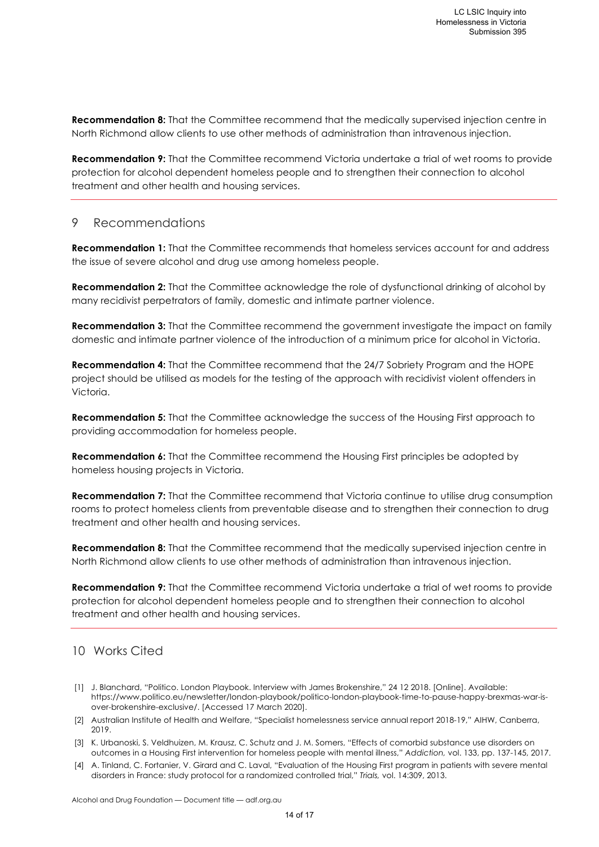**Recommendation 8:** That the Committee recommend that the medically supervised injection centre in North Richmond allow clients to use other methods of administration than intravenous injection.

**Recommendation 9:** That the Committee recommend Victoria undertake a trial of wet rooms to provide protection for alcohol dependent homeless people and to strengthen their connection to alcohol treatment and other health and housing services.

#### 9 Recommendations

**Recommendation 1:** That the Committee recommends that homeless services account for and address the issue of severe alcohol and drug use among homeless people.

**Recommendation 2:** That the Committee acknowledge the role of dysfunctional drinking of alcohol by many recidivist perpetrators of family, domestic and intimate partner violence.

**Recommendation 3:** That the Committee recommend the government investigate the impact on family domestic and intimate partner violence of the introduction of a minimum price for alcohol in Victoria.

**Recommendation 4:** That the Committee recommend that the 24/7 Sobriety Program and the HOPE project should be utilised as models for the testing of the approach with recidivist violent offenders in Victoria.

**Recommendation 5:** That the Committee acknowledge the success of the Housing First approach to providing accommodation for homeless people.

**Recommendation 6:** That the Committee recommend the Housing First principles be adopted by homeless housing projects in Victoria.

**Recommendation 7:** That the Committee recommend that Victoria continue to utilise drug consumption rooms to protect homeless clients from preventable disease and to strengthen their connection to drug treatment and other health and housing services.

**Recommendation 8:** That the Committee recommend that the medically supervised injection centre in North Richmond allow clients to use other methods of administration than intravenous injection.

**Recommendation 9:** That the Committee recommend Victoria undertake a trial of wet rooms to provide protection for alcohol dependent homeless people and to strengthen their connection to alcohol treatment and other health and housing services.

# 10 Works Cited

- [1] J. Blanchard, "Politico. London Playbook. Interview with James Brokenshire," 24 12 2018. [Online]. Available: https://www.politico.eu/newsletter/london-playbook/politico-london-playbook-time-to-pause-happy-brexmas-war-isover-brokenshire-exclusive/. [Accessed 17 March 2020].
- [2] Australian Institute of Health and Welfare, "Specialist homelessness service annual report 2018-19," AIHW, Canberra, 2019.
- [3] K. Urbanoski, S. Veldhuizen, M. Krausz, C. Schutz and J. M. Somers, "Effects of comorbid substance use disorders on outcomes in a Housing First intervention for homeless people with mental illness," *Addiction,* vol. 133, pp. 137-145, 2017.
- [4] A. Tinland, C. Fortanier, V. Girard and C. Laval, "Evaluation of the Housing First program in patients with severe mental disorders in France: study protocol for a randomized controlled trial," *Trials,* vol. 14:309, 2013.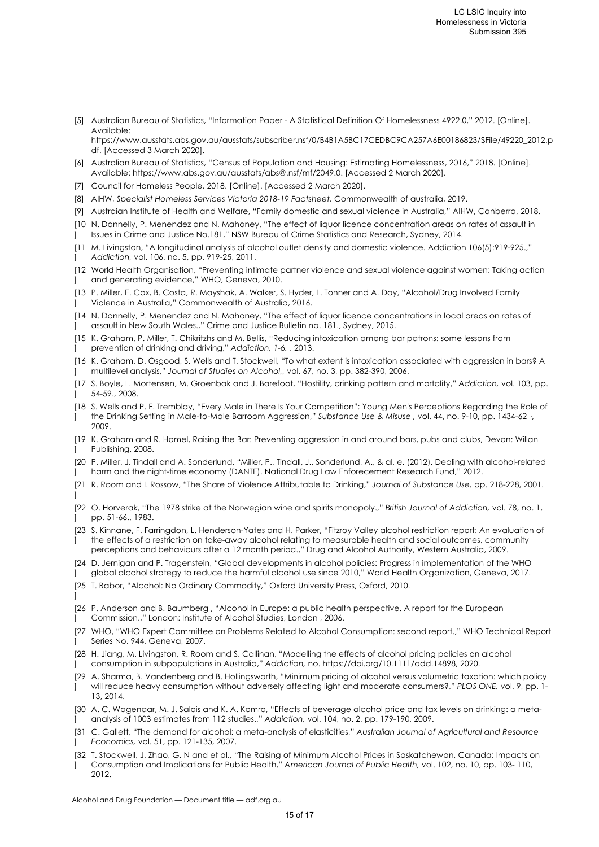[5] Australian Bureau of Statistics, "Information Paper - A Statistical Definition Of Homelessness 4922.0," 2012. [Online]. Available:

https://www.ausstats.abs.gov.au/ausstats/subscriber.nsf/0/B4B1A5BC17CEDBC9CA257A6E00186823/\$File/49220\_2012.p df. [Accessed 3 March 2020].

- [6] Australian Bureau of Statistics, "Census of Population and Housing: Estimating Homelessness, 2016," 2018. [Online]. Available: https://www.abs.gov.au/ausstats/abs@.nsf/mf/2049.0. [Accessed 2 March 2020].
- [7] Council for Homeless People, 2018. [Online]. [Accessed 2 March 2020].
- [8] AIHW, *Specialist Homeless Services Victoria 2018-19 Factsheet,* Commonwealth of australia, 2019.
- [9] Austraian Institute of Health and Welfare, "Family domestic and sexual violence in Australia," AIHW, Canberra, 2018.
- [10 N. Donnelly, P. Menendez and N. Mahoney, "The effect of liquor licence concentration areas on rates of assault in  $\mathbf{1}$ Issues in Crime and Justice No.181," NSW Bureau of Crime Statistics and Research, Sydney, 2014.
- [11 M. Livingston, "A longitudinal analysis of alcohol outlet density and domestic violence. Addiction 106(5):919-925.," ] *Addiction,* vol. 106, no. 5, pp. 919-25, 2011.
- [12 World Health Organisation, "Preventing intimate partner violence and sexual violence against women: Taking action  $\mathbf{1}$ and generating evidence," WHO, Geneva, 2010.
- [13 P. Miller, E. Cox, B. Costa, R. Mayshak, A. Walker, S. Hyder, L. Tonner and A. Day, "Alcohol/Drug Involved Family ] Violence in Australia," Commonwealth of Australia, 2016.
- [14 N. Donnelly, P. Menendez and N. Mahoney, "The effect of liquor licence concentrations in local areas on rates of  $\bf{l}$ assault in New South Wales.," Crime and Justice Bulletin no. 181., Sydney, 2015.
- [15 K. Graham, P. Miller, T. Chikritzhs and M. Bellis, "Reducing intoxication among bar patrons: some lessons from  $\bf{l}$ prevention of drinking and driving," *Addiction, 1-6. ,* 2013.
- [16 K. Graham, D. Osgood, S. Wells and T. Stockwell, "To what extent is intoxication associated with aggression in bars? A  $\bf{l}$ multilevel analysis," *Journal of Studies on Alcohol,,* vol. 67, no. 3, pp. 382-390, 2006.
- [17 S. Boyle, L. Mortensen, M. Groenbak and J. Barefoot, "Hostility, drinking pattern and mortality," *Addiction,* vol. 103, pp. ] 54-59., 2008.
- [18 S. Wells and P. F. Tremblay, "Every Male in There Is Your Competition": Young Men's Perceptions Regarding the Role of  $\bf{l}$ the Drinking Setting in Male-to-Male Barroom Aggression," *Substance Use & Misuse ,* vol. 44, no. 9-10, pp. 1434-62 ·, 2009.
- [19 K. Graham and R. Homel, Raising the Bar: Preventing aggression in and around bars, pubs and clubs, Devon: Willan ] Publishing, 2008.
- [20 P. Miller, J. Tindall and A. Sonderlund, "Miller, P., Tindall, J., Sonderlund, A., & al, e. (2012). Dealing with alcohol-related ] harm and the night-time economy (DANTE). National Drug Law Enforecement Research Fund," 2012.
- [21 R. Room and I. Rossow, "The Share of Violence Attributable to Drinking," *Journal of Substance Use,* pp. 218-228, 2001.  $\bf{l}$
- [22 O. Horverak, "The 1978 strike at the Norwegian wine and spirits monopoly.," *British Journal of Addiction,* vol. 78, no. 1, ] pp. 51-66., 1983.
- [23 S. Kinnane, F. Farringdon, L. Henderson-Yates and H. Parker, "Fitzroy Valley alcohol restriction report: An evaluation of  $\blacksquare$ the effects of a restriction on take-away alcohol relating to measurable health and social outcomes, community perceptions and behaviours after a 12 month period.," Drug and Alcohol Authority, Western Australia, 2009.
- [24 D. Jernigan and P. Tragenstein, "Global developments in alcohol policies: Progress in implementation of the WHO ] global alcohol strategy to reduce the harmful alcohol use since 2010," World Health Organization, Geneva, 2017.
- [25 T. Babor, "Alcohol: No Ordinary Commodity," Oxford University Press, Oxford, 2010.
- [26 P. Anderson and B. Baumberg , "Alcohol in Europe: a public health perspective. A report for the European ] Commission.," London: Institute of Alcohol Studies, London , 2006.
- [27 WHO, "WHO Expert Committee on Problems Related to Alcohol Consumption: second report.," WHO Technical Report ] Series No. 944, Geneva, 2007.
- [28 H. Jiang, M. Livingston, R. Room and S. Callinan, "Modelling the effects of alcohol pricing policies on alcohol ] consumption in subpopulations in Australia," *Addiction,* no. https://doi.org/10.1111/add.14898, 2020.
- [29 A. Sharma, B. Vandenberg and B. Hollingsworth, "Minimum pricing of alcohol versus volumetric taxation: which policy ] will reduce heavy consumption without adversely affecting light and moderate consumers?," *PLOS ONE,* vol. 9, pp. 1- 13, 2014.
- [30 A. C. Wagenaar, M. J. Salois and K. A. Komro, "Effects of beverage alcohol price and tax levels on drinking: a meta-] analysis of 1003 estimates from 112 studies.," *Addiction,* vol. 104, no. 2, pp. 179-190, 2009.
- [31 C. Gallett, "The demand for alcohol: a meta-analysis of elasticities," *Australian Journal of Agricultural and Resource*  ] *Economics,* vol. 51, pp. 121-135, 2007.
- [32 T. Stockwell, J. Zhao, G. N and et al., "The Raising of Minimum Alcohol Prices in Saskatchewan, Canada: Impacts on ] Consumption and Implications for Public Health," *American Journal of Public Health,* vol. 102, no. 10, pp. 103- 110, 2012.

]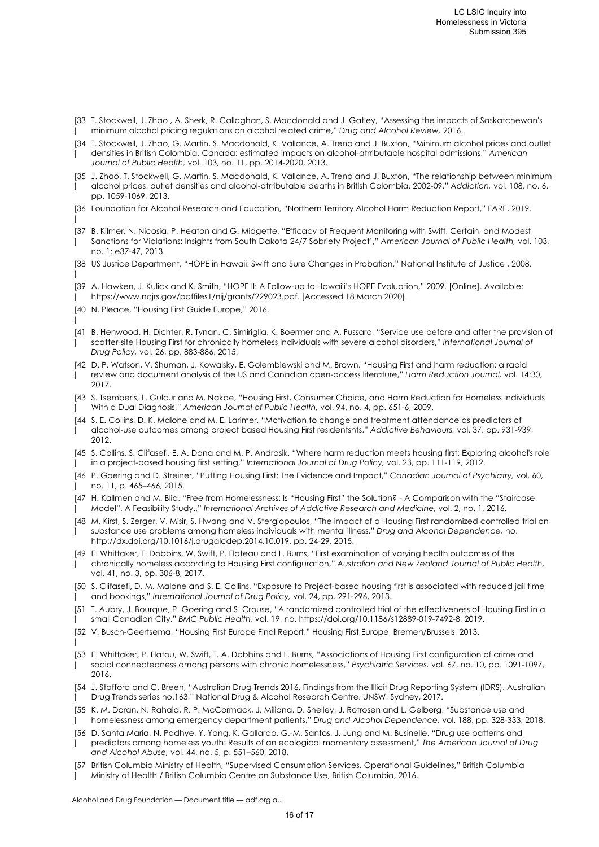- [33 T. Stockwell, J. Zhao , A. Sherk, R. Callaghan, S. Macdonald and J. Gatley, "Assessing the impacts of Saskatchewan's  $\mathbf{1}$ minimum alcohol pricing regulations on alcohol related crime," *Drug and Alcohol Review,* 2016.
- [34 T. Stockwell, J. Zhao, G. Martin, S. Macdonald, K. Vallance, A. Treno and J. Buxton, "Minimum alcohol prices and outlet ] densities in British Colombia, Canada: estimated impacts on alcohol-atrributable hospital admissions," *American*
- *Journal of Public Health,* vol. 103, no. 11, pp. 2014-2020, 2013.
- [35 J. Zhao, T. Stockwell, G. Martin, S. Macdonald, K. Vallance, A. Treno and J. Buxton, "The relationship between minimum ] alcohol prices, outlet densities and alcohol-atrributable deaths in British Colombia, 2002-09," *Addiction,* vol. 108, no. 6, pp. 1059-1069, 2013.
- [36 Foundation for Alcohol Research and Education, "Northern Territory Alcohol Harm Reduction Report," FARE, 2019.  $\bf{l}$
- [37 B. Kilmer, N. Nicosia, P. Heaton and G. Midgette, "Efficacy of Frequent Monitoring with Swift, Certain, and Modest ] Sanctions for Violations: Insights from South Dakota 24/7 Sobriety Project'," *American Journal of Public Health,* vol. 103, no. 1: e37-47, 2013.
- [38 US Justice Department, "HOPE in Hawaii: Swift and Sure Changes in Probation," National Institute of Justice , 2008. ]
- [39 A. Hawken, J. Kulick and K. Smith, "HOPE II: A Follow-up to Hawaiʻi's HOPE Evaluation," 2009. [Online]. Available: ] https://www.ncjrs.gov/pdffiles1/nij/grants/229023.pdf. [Accessed 18 March 2020].
- [40 N. Pleace, "Housing First Guide Europe," 2016.
- [41 B. Henwood, H. Dichter, R. Tynan, C. Simiriglia, K. Boermer and A. Fussaro, "Service use before and after the provision of ] scatter-site Housing First for chronically homeless individuals with severe alcohol disorders," *International Journal of Drug Policy,* vol. 26, pp. 883-886, 2015.
- [42 D. P. Watson, V. Shuman, J. Kowalsky, E. Golembiewski and M. Brown, "Housing First and harm reduction: a rapid ] review and document analysis of the US and Canadian open-access literature," *Harm Reduction Journal,* vol. 14:30, 2017.
- [43 S. Tsemberis, L. Gulcur and M. Nakae, "Housing First, Consumer Choice, and Harm Reduction for Homeless Individuals  $\bf{l}$ With a Dual Diagnosis," *American Journal of Public Health,* vol. 94, no. 4, pp. 651-6, 2009.
- [44 S. E. Collins, D. K. Malone and M. E. Larimer, "Motivation to change and treatment attendance as predictors of ] alcohol-use outcomes among project based Housing First residentsnts," *Addictive Behaviours,* vol. 37, pp. 931-939, 2012.
- [45 S. Collins, S. Clifasefi, E. A. Dana and M. P. Andrasik, "Where harm reduction meets housing first: Exploring alcohol's role ] in a project-based housing first setting," *International Journal of Drug Policy,* vol. 23, pp. 111-119, 2012.
- [46 P. Goering and D. Streiner, "Putting Housing First: The Evidence and Impact," *Canadian Journal of Psychiatry,* vol. 60, ] no. 11, p. 465–466, 2015.
- [47 H. Kallmen and M. Blid, "Free from Homelessness: Is "Housing First" the Solution? A Comparison with the "Staircase ] Model". A Feasibility Study.," *International Archives of Addictive Research and Medicine,* vol. 2, no. 1, 2016.
- [48 M. Kirst, S. Zerger, V. Misir, S. Hwang and V. Stergiopoulos, "The impact of a Housing First randomized controlled trial on  $\mathbf{1}$ substance use problems among homeless individuals with mental illness," *Drug and Alcohol Dependence,* no. http://dx.doi.org/10.1016/j.drugalcdep.2014.10.019, pp. 24-29, 2015.
- [49 E. Whittaker, T. Dobbins, W. Swift, P. Flateau and L. Burns, "First examination of varying health outcomes of the  $\bf{l}$ chronically homeless according to Housing First configuration," *Australian and New Zealand Journal of Public Health,*  vol. 41, no. 3, pp. 306-8, 2017.
- [50 S. Clifasefi, D. M. Malone and S. E. Collins, "Exposure to Project-based housing first is associated with reduced jail time ] and bookings," *International Journal of Drug Policy,* vol. 24, pp. 291-296, 2013.
- [51 T. Aubry, J. Bourque, P. Goering and S. Crouse, "A randomized controlled trial of the effectiveness of Housing First in a ] small Canadian City," *BMC Public Health,* vol. 19, no. https://doi.org/10.1186/s12889-019-7492-8, 2019.
- [52 V. Busch-Geertsema, "Housing First Europe Final Report," Housing First Europe, Bremen/Brussels, 2013.
- ]

]

- [53 E. Whittaker, P. Flatou, W. Swift, T. A. Dobbins and L. Burns, "Associations of Housing First configuration of crime and ] social connectedness among persons with chronic homelessness," *Psychiatric Services,* vol. 67, no. 10, pp. 1091-1097, 2016.
- [54 J. Stafford and C. Breen, "Australian Drug Trends 2016. Findings from the Illicit Drug Reporting System (IDRS). Australian ] Drug Trends series no.163," National Drug & Alcohol Research Centre, UNSW, Sydney, 2017.
- [55 K. M. Doran, N. Rahaia, R. P. McCormack, J. Miliana, D. Shelley, J. Rotrosen and L. Gelberg, "Substance use and ] homelessness among emergency department patients," *Drug and Alcohol Dependence,* vol. 188, pp. 328-333, 2018.
- [56 D. Santa Maria, N. Padhye, Y. Yang, K. Gallardo, G.-M. Santos, J. Jung and M. Businelle, "Drug use patterns and ] predictors among homeless youth: Results of an ecological momentary assessment," *The American Journal of Drug and Alcohol Abuse,* vol. 44, no. 5, p. 551–560, 2018.
- [57 British Columbia Ministry of Health, "Supervised Consumption Services. Operational Guidelines," British Columbia ] Ministry of Health / British Columbia Centre on Substance Use, British Columbia, 2016.